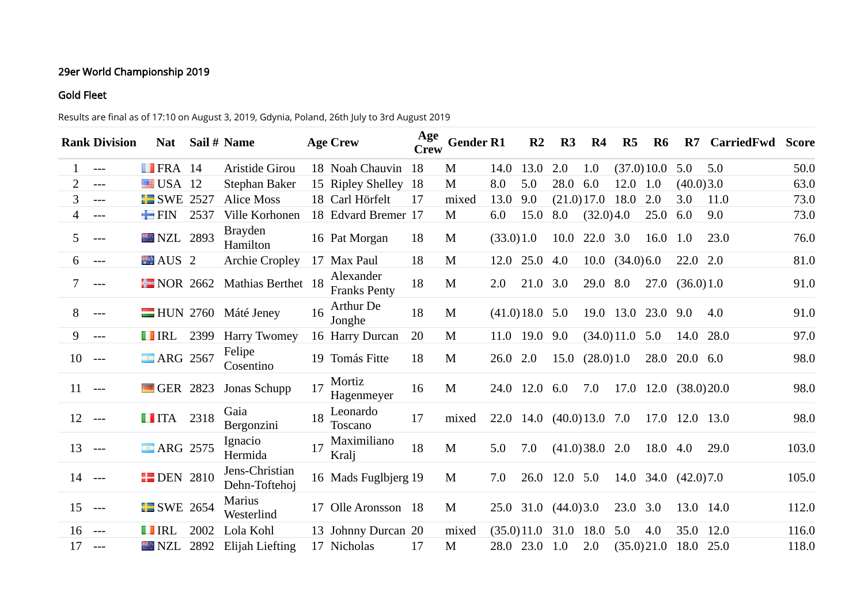## 29er World Championship 2019

## Gold Fleet

Results are final as of 17:10 on August 3, 2019, Gdynia, Poland, 26th July to 3rd August 2019

|          | <b>Rank Division</b> | <b>Nat</b>              |      | Sail # Name                     |    | <b>Age Crew</b>                  | Age<br><b>Crew</b> | <b>Gender R1</b> |           | R <sub>2</sub>   | R <sub>3</sub>            | R4                      | R5                     | R <sub>6</sub> | $\mathbf{R}$             | CarriedFwd | <b>Score</b> |
|----------|----------------------|-------------------------|------|---------------------------------|----|----------------------------------|--------------------|------------------|-----------|------------------|---------------------------|-------------------------|------------------------|----------------|--------------------------|------------|--------------|
|          | $---$                | $\blacksquare$ FRA 14   |      | Aristide Girou                  |    | 18 Noah Chauvin                  | 18                 | M                | 14.0      | 13.0             | 2.0                       | 1.0                     |                        | (37.0)10.0     | 5.0                      | 5.0        | 50.0         |
| 2        | $---$                | $\blacksquare$ USA 12   |      | Stephan Baker                   |    | 15 Ripley Shelley                | 18                 | M                | 8.0       | 5.0              | 28.0                      | 6.0                     | 12.0 1.0               |                | (40.0)3.0                |            | 63.0         |
| 3        | $---$                | $\blacksquare$ SWE 2527 |      | <b>Alice Moss</b>               |    | 18 Carl Hörfelt                  | 17                 | mixed            | 13.0      | 9.0              |                           | $(21.0)17.0$ 18.0       |                        | 2.0            | 3.0                      | 11.0       | 73.0         |
| 4        | $---$                | $\blacksquare$ FIN      | 2537 | Ville Korhonen                  |    | 18 Edvard Bremer 17              |                    | M                | 6.0       | 15.0             | 8.0                       | (32.0)4.0               |                        | 25.0           | 6.0                      | 9.0        | 73.0         |
| 5.       | $---$                | NZL 2893                |      | <b>Brayden</b><br>Hamilton      |    | 16 Pat Morgan                    | 18                 | M                | (33.0)1.0 |                  | 10.0                      | 22.0 3.0                |                        | 16.0 1.0       |                          | 23.0       | 76.0         |
| 6        | $---$                | AUS <sub>2</sub>        |      | <b>Archie Cropley</b>           |    | 17 Max Paul                      | 18                 | M                |           | 12.0 25.0        | 4.0                       |                         | $10.0 \quad (34.0)6.0$ |                | $22.0$ 2.0               |            | 81.0         |
| 7.       | $---$                | $\blacksquare$ NOR 2662 |      | Mathias Berthet 18              |    | Alexander<br><b>Franks Penty</b> | 18                 | M                | 2.0       | 21.0 3.0         |                           | 29.0 8.0                |                        |                | 27.0(36.0)1.0            |            | 91.0         |
| 8        | $---$                |                         |      | -HUN 2760 Máté Jeney            | 16 | Arthur De<br>Jonghe              | 18                 | M                |           | $(41.0)18.0$ 5.0 |                           |                         | 19.0 13.0              | 23.0 9.0       |                          | 4.0        | 91.0         |
| 9        | $---$                | <b>TERL</b>             | 2399 | <b>Harry Twomey</b>             |    | 16 Harry Durcan                  | 20                 | M                |           | 11.0 19.0        | 9.0                       |                         | (34.0)11.0             | 5.0            | 14.0                     | 28.0       | 97.0         |
| 10       | $---$                | <b>ARG 2567</b>         |      | Felipe<br>Cosentino             |    | 19 Tomás Fitte                   | 18                 | M                | 26.0 2.0  |                  |                           | $15.0 \quad (28.0) 1.0$ |                        | 28.0           | $20.0\quad 6.0$          |            | 98.0         |
| 11       | $---$                | GER 2823                |      | Jonas Schupp                    | 17 | Mortiz<br>Hagenmeyer             | 16                 | M                |           | 24.0 12.0 6.0    |                           | 7.0                     |                        |                | 17.0 12.0 (38.0) 20.0    |            | 98.0         |
| 12       | $---$                | <b>IITA</b> 2318        |      | Gaia<br>Bergonzini              | 18 | Leonardo<br><b>Toscano</b>       | 17                 | mixed            |           |                  | 22.0 14.0 (40.0) 13.0 7.0 |                         |                        |                | 17.0 12.0 13.0           |            | 98.0         |
| 13       | $---$                | <b>E</b> ARG 2575       |      | Ignacio<br>Hermida              | 17 | Maximiliano<br>Kralj             | 18                 | M                | 5.0       | 7.0              |                           | $(41.0)38.0$ 2.0        |                        | 18.0 4.0       |                          | 29.0       | 103.0        |
| $14 - -$ |                      | <b>EDEN 2810</b>        |      | Jens-Christian<br>Dehn-Toftehoj |    | 16 Mads Fuglbjerg 19             |                    | M                | 7.0       |                  | 26.0 12.0 5.0             |                         |                        |                | $14.0$ 34.0 $(42.0)$ 7.0 |            | 105.0        |
| 15       | $---$                | <b>E</b> SWE 2654       |      | <b>Marius</b><br>Westerlind     |    | 17 Olle Aronsson 18              |                    | M                |           |                  | 25.0 31.0 $(44.0)3.0$     |                         | 23.0 3.0               |                | 13.0 14.0                |            | 112.0        |
| 16       | $---$                | <b>THERE</b>            | 2002 | Lola Kohl                       |    | 13 Johnny Durcan 20              |                    | mixed            |           | (35.0)11.0       | 31.0                      | 18.0                    | 5.0                    | 4.0            | 35.0                     | 12.0       | 116.0        |
| 17       | $---$                | <b>NZL</b>              | 2892 | <b>Elijah Liefting</b>          |    | 17 Nicholas                      | 17                 | M                |           | 28.0 23.0        | 1.0                       | 2.0                     |                        | (35.0)21.0     | 18.0                     | 25.0       | 118.0        |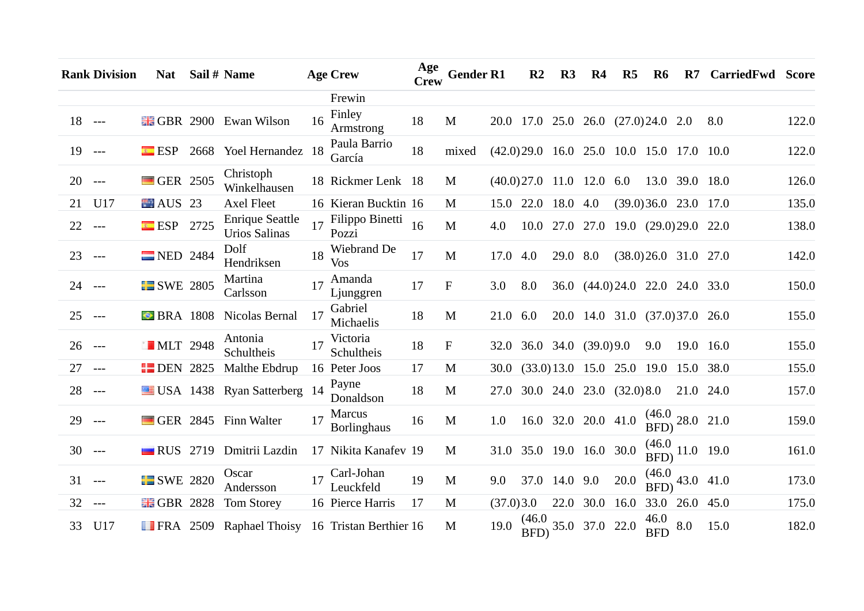|          | <b>Rank Division</b> | <b>Nat</b>              |      | Sail # Name                                    |    | <b>Age Crew</b>              | Age<br><b>Crew</b> | <b>Gender R1</b> |           | R <sub>2</sub>            | R <sub>3</sub> | R <sub>4</sub>                      | $\mathbf{R}5$                              | R6                 | $\mathbf{R}$                        | <b>CarriedFwd Score</b> |       |
|----------|----------------------|-------------------------|------|------------------------------------------------|----|------------------------------|--------------------|------------------|-----------|---------------------------|----------------|-------------------------------------|--------------------------------------------|--------------------|-------------------------------------|-------------------------|-------|
|          |                      |                         |      |                                                |    | Frewin                       |                    |                  |           |                           |                |                                     |                                            |                    |                                     |                         |       |
| $18$ --- |                      |                         |      | <b>EGBR</b> 2900 Ewan Wilson                   | 16 | Finley<br>Armstrong          | 18                 | M                |           |                           |                |                                     | 20.0 17.0 25.0 26.0 (27.0) 24.0 2.0        |                    |                                     | 8.0                     | 122.0 |
| 19       | $---$                | ESP                     |      | 2668 Yoel Hernandez 18                         |    | Paula Barrio<br>García       | 18                 | mixed            |           |                           |                |                                     | $(42.0)29.0$ 16.0 25.0 10.0 15.0 17.0 10.0 |                    |                                     |                         | 122.0 |
| 20       | $---$                | GER 2505                |      | Christoph<br>Winkelhausen                      |    | 18 Rickmer Lenk 18           |                    | M                |           | (40.0)27.0                |                | 11.0 12.0 6.0                       |                                            |                    | 13.0 39.0                           | 18.0                    | 126.0 |
| 21       | U17                  | $\blacksquare$ AUS 23   |      | <b>Axel Fleet</b>                              |    | 16 Kieran Bucktin 16         |                    | M                |           | 15.0 22.0                 | 18.0 4.0       |                                     |                                            |                    | $(39.0)36.0$ 23.0 17.0              |                         | 135.0 |
| 22       | $---$                | ESP                     | 2725 | <b>Enrique Seattle</b><br><b>Urios Salinas</b> |    | Filippo Binetti<br>Pozzi     | 16                 | M                | 4.0       | 10.0                      |                |                                     | 27.0 27.0 19.0 (29.0) 29.0 22.0            |                    |                                     |                         | 138.0 |
| 23       | $---$                | $NED$ 2484              |      | Dolf<br>Hendriksen                             | 18 | Wiebrand De<br>Vos           | 17                 | M                | 17.0 4.0  |                           | 29.0 8.0       |                                     |                                            |                    | $(38.0)26.0$ 31.0 27.0              |                         | 142.0 |
| 24 ---   |                      | <b>SWE 2805</b>         |      | Martina<br>Carlsson                            | 17 | Amanda<br>Ljunggren          | 17                 | $\mathbf{F}$     | 3.0       | 8.0                       |                |                                     | 36.0 (44.0) 24.0 22.0 24.0 33.0            |                    |                                     |                         | 150.0 |
| 25       | $---$                | <b>• BRA</b> 1808       |      | Nicolas Bernal                                 | 17 | Gabriel<br>Michaelis         | 18                 | M                | 21.0 6.0  |                           |                |                                     | 20.0 14.0 31.0 (37.0) 37.0 26.0            |                    |                                     |                         | 155.0 |
| 26       | $---$                | <b>MLT</b> 2948         |      | Antonia<br>Schultheis                          |    | Victoria<br>Schultheis       | 18                 | $\mathbf{F}$     |           | 32.0 36.0 34.0 (39.0) 9.0 |                |                                     |                                            | 9.0                |                                     | 19.0 16.0               | 155.0 |
| 27       | $---$                | $\blacksquare$ DEN 2825 |      | Malthe Ebdrup                                  |    | 16 Peter Joos                | 17                 | M                | 30.0      |                           |                |                                     | $(33.0)13.0$ 15.0 25.0 19.0                |                    | 15.0                                | 38.0                    | 155.0 |
| 28       | $---$                |                         |      | USA 1438 Ryan Satterberg 14                    |    | Payne<br>Donaldson           | 18                 | M                | 27.0      |                           |                |                                     | 30.0 24.0 23.0 (32.0) 8.0                  |                    |                                     | 21.0 24.0               | 157.0 |
| 29       | $---$                |                         |      | GER 2845 Finn Walter                           | 17 | Marcus<br><b>Borlinghaus</b> | 16                 | M                | 1.0       |                           |                | 16.0 32.0 20.0 41.0                 |                                            | BFD)               | $\frac{(46.0)}{270}$ 28.0 21.0      |                         | 159.0 |
| 30       | $---$                | $\blacksquare$ RUS 2719 |      | Dmitrii Lazdin                                 |    | 17 Nikita Kanafev 19         |                    | M                | 31.0      | 35.0 19.0 16.0 30.0       |                |                                     |                                            |                    | $\frac{1000}{\text{BFD}}$ 11.0 19.0 |                         | 161.0 |
| 31       | $---$                | $\Box$ SWE 2820         |      | Oscar<br>Andersson                             |    | 17 Carl-Johan<br>Leuckfeld   | 19                 | M                | 9.0       |                           | 37.0 14.0 9.0  |                                     | 20.0                                       |                    | $\frac{(46.0)}{BFD}$ 43.0 41.0      |                         | 173.0 |
| 32       | $---$                | <b>EGBR</b> 2828        |      | <b>Tom Storey</b>                              |    | 16 Pierce Harris             | 17                 | M                | (37.0)3.0 |                           | 22.0           | 30.0 16.0                           |                                            |                    | 33.0 26.0                           | 45.0                    | 175.0 |
| 33       | U17                  |                         |      | FRA 2509 Raphael Thoisy 16 Tristan Berthier 16 |    |                              |                    | M                | 19.0      |                           |                | $\frac{(46.0)}{BFD}$ 35.0 37.0 22.0 |                                            | 46.0<br><b>BFD</b> | 8.0                                 | 15.0                    | 182.0 |